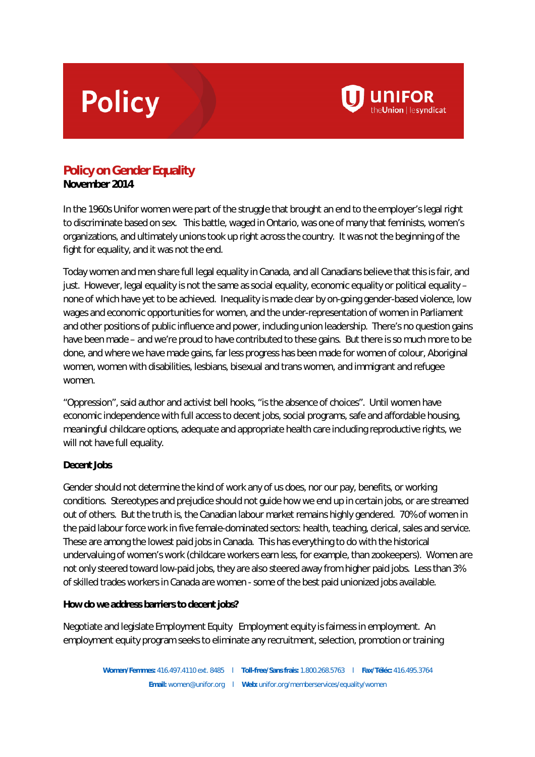# **Policy**



**November 2014**

In the 1960s Unifor women were part of the struggle that brought an end to the employer's legal right to discriminate based on sex. This battle, waged in Ontario, was one of many that feminists, women's organizations, and ultimately unions took up right across the country. It was not the beginning of the fight for equality, and it was not the end.

**UNIFOR** 

Today women and men share full legal equality in Canada, and all Canadians believe that this is fair, and just. However, legal equality is not the same as social equality, economic equality or political equality – none of which have yet to be achieved. Inequality is made clear by on-going gender-based violence, low wages and economic opportunities for women, and the under-representation of women in Parliament and other positions of public influence and power, including union leadership. There's no question gains have been made – and we're proud to have contributed to these gains. But there is so much more to be done, and where we have made gains, far less progress has been made for women of colour, Aboriginal women, women with disabilities, lesbians, bisexual and trans women, and immigrant and refugee women.

"Oppression", said author and activist bell hooks, "is the absence of choices". Until women have economic independence with full access to decent jobs, social programs, safe and affordable housing, meaningful childcare options, adequate and appropriate health care including reproductive rights, we will not have full equality.

### **Decent Jobs**

Gender should not determine the kind of work any of us does, nor our pay, benefits, or working conditions. Stereotypes and prejudice should not guide how we end up in certain jobs, or are streamed out of others. But the truth is, the Canadian labour market remains highly gendered. 70% of women in the paid labour force work in five female-dominated sectors: health, teaching, clerical, sales and service. These are among the lowest paid jobs in Canada. This has everything to do with the historical undervaluing of women's work (childcare workers earn less, for example, than zookeepers). Women are not only steered toward low-paid jobs, they are also steered away from higher paid jobs. Less than 3% of skilled trades workers in Canada are women - some of the best paid unionized jobs available.

**How do we address barriers to decent jobs?**

Negotiate and legislate Employment Equity Employment equity is fairness in employment. An employment equity program seeks to eliminate any recruitment, selection, promotion or training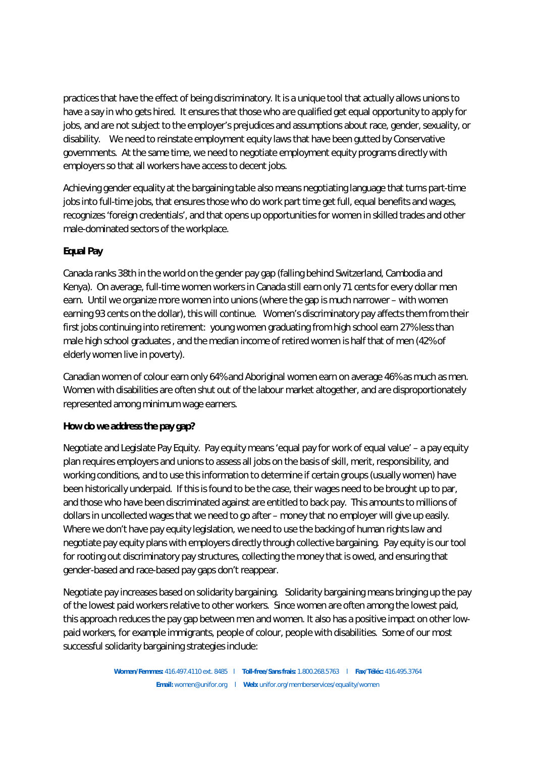practices that have the effect of being discriminatory. It is a unique tool that actually allows unions to have a say in who gets hired. It ensures that those who are qualified get equal opportunity to apply for jobs, and are not subject to the employer's prejudices and assumptions about race, gender, sexuality, or disability. We need to reinstate employment equity laws that have been gutted by Conservative governments. At the same time, we need to negotiate employment equity programs directly with employers so that all workers have access to decent jobs.

Achieving gender equality at the bargaining table also means negotiating language that turns part-time jobs into full-time jobs, that ensures those who do work part time get full, equal benefits and wages, recognizes 'foreign credentials', and that opens up opportunities for women in skilled trades and other male-dominated sectors of the workplace.

### **Equal Pay**

Canada ranks 38th in the world on the gender pay gap (falling behind Switzerland, Cambodia and Kenya). On average, full-time women workers in Canada still earn only 71 cents for every dollar men earn. Until we organize more women into unions (where the gap is much narrower – with women earning 93 cents on the dollar), this will continue. Women's discriminatory pay affects them from their first jobs continuing into retirement: young women graduating from high school earn 27% less than male high school graduates , and the median income of retired women is half that of men (42% of elderly women live in poverty).

Canadian women of colour earn only 64% and Aboriginal women earn on average 46% as much as men. Women with disabilities are often shut out of the labour market altogether, and are disproportionately represented among minimum wage earners.

### **How do we address the pay gap?**

Negotiate and Legislate Pay Equity. Pay equity means 'equal pay for work of equal value' – a pay equity plan requires employers and unions to assess all jobs on the basis of skill, merit, responsibility, and working conditions, and to use this information to determine if certain groups (usually women) have been historically underpaid. If this is found to be the case, their wages need to be brought up to par, and those who have been discriminated against are entitled to back pay. This amounts to millions of dollars in uncollected wages that we need to go after – money that no employer will give up easily. Where we don't have pay equity legislation, we need to use the backing of human rights law and negotiate pay equity plans with employers directly through collective bargaining. Pay equity is our tool for rooting out discriminatory pay structures, collecting the money that is owed, and ensuring that gender-based and race-based pay gaps don't reappear.

Negotiate pay increases based on solidarity bargaining. Solidarity bargaining means bringing up the pay of the lowest paid workers relative to other workers. Since women are often among the lowest paid, this approach reduces the pay gap between men and women. It also has a positive impact on other lowpaid workers, for example immigrants, people of colour, people with disabilities. Some of our most successful solidarity bargaining strategies include: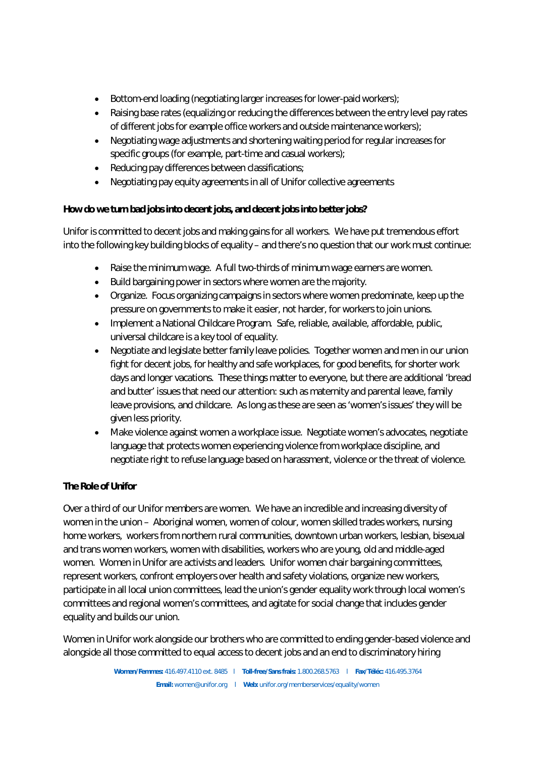- Bottom-end loading (negotiating larger increases for lower-paid workers);
- Raising base rates (equalizing or reducing the differences between the entry level pay rates of different jobs for example office workers and outside maintenance workers);
- Negotiating wage adjustments and shortening waiting period for regular increases for specific groups (for example, part-time and casual workers);
- Reducing pay differences between classifications;
- Negotiating pay equity agreements in all of Unifor collective agreements

**How do we turn bad jobs into decent jobs, and decent jobs into better jobs?**

Unifor is committed to decent jobs and making gains for all workers. We have put tremendous effort into the following key building blocks of equality – and there's no question that our work must continue:

- Raise the minimum wage. A full two-thirds of minimum wage earners are women.
- Build bargaining power in sectors where women are the majority.
- Organize. Focus organizing campaigns in sectors where women predominate, keep up the pressure on governments to make it easier, not harder, for workers to join unions.
- Implement a National Childcare Program. Safe, reliable, available, affordable, public, universal childcare is a key tool of equality.
- Negotiate and legislate better family leave policies. Together women and men in our union fight for decent jobs, for healthy and safe workplaces, for good benefits, for shorter work days and longer vacations. These things matter to everyone, but there are additional 'bread and butter' issues that need our attention: such as maternity and parental leave, family leave provisions, and childcare. As long as these are seen as 'women's issues' they will be given less priority.
- Make violence against women a workplace issue. Negotiate women's advocates, negotiate language that protects women experiencing violence from workplace discipline, and negotiate right to refuse language based on harassment, violence or the threat of violence.

## **The Role of Unifor**

Over a third of our Unifor members are women. We have an incredible and increasing diversity of women in the union – Aboriginal women, women of colour, women skilled trades workers, nursing home workers, workers from northern rural communities, downtown urban workers, lesbian, bisexual and trans women workers, women with disabilities, workers who are young, old and middle-aged women. Women in Unifor are activists and leaders. Unifor women chair bargaining committees, represent workers, confront employers over health and safety violations, organize new workers, participate in all local union committees, lead the union's gender equality work through local women's committees and regional women's committees, and agitate for social change that includes gender equality and builds our union.

Women in Unifor work alongside our brothers who are committed to ending gender-based violence and alongside all those committed to equal access to decent jobs and an end to discriminatory hiring